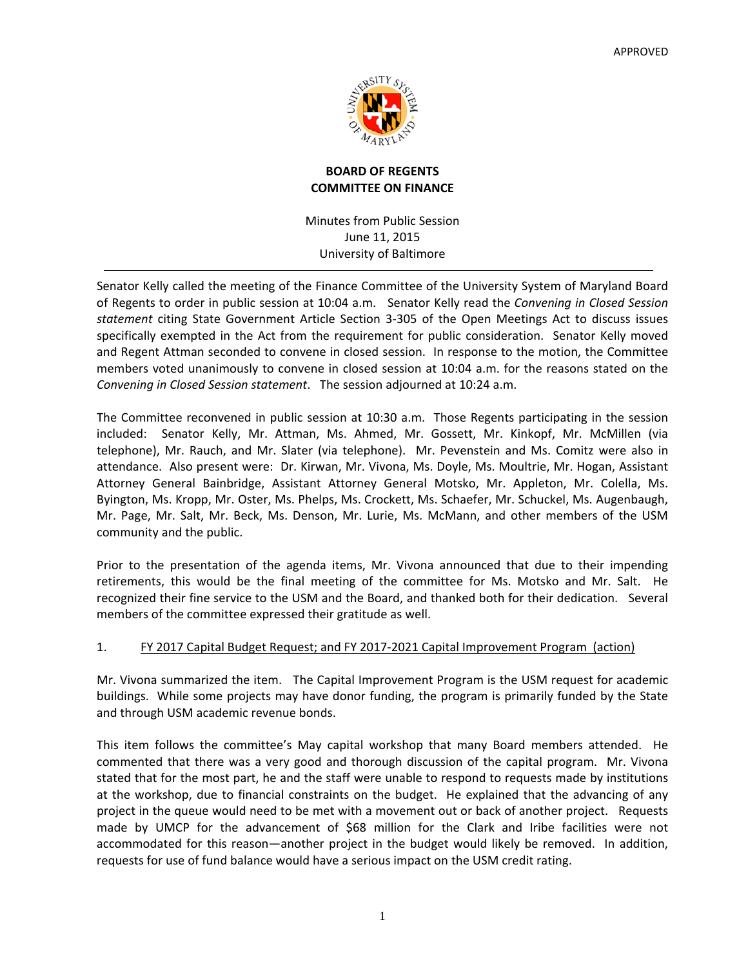

# **BOARD OF REGENTS COMMITTEE ON FINANCE**

Minutes from Public Session June 11, 2015 University of Baltimore

Senator Kelly called the meeting of the Finance Committee of the University System of Maryland Board of Regents to order in public session at 10:04 a.m. Senator Kelly read the *Convening in Closed Session statement* citing State Government Article Section 3‐305 of the Open Meetings Act to discuss issues specifically exempted in the Act from the requirement for public consideration. Senator Kelly moved and Regent Attman seconded to convene in closed session. In response to the motion, the Committee members voted unanimously to convene in closed session at 10:04 a.m. for the reasons stated on the *Convening in Closed Session statement*. The session adjourned at 10:24 a.m.

The Committee reconvened in public session at 10:30 a.m. Those Regents participating in the session included: Senator Kelly, Mr. Attman, Ms. Ahmed, Mr. Gossett, Mr. Kinkopf, Mr. McMillen (via telephone), Mr. Rauch, and Mr. Slater (via telephone). Mr. Pevenstein and Ms. Comitz were also in attendance. Also present were: Dr. Kirwan, Mr. Vivona, Ms. Doyle, Ms. Moultrie, Mr. Hogan, Assistant Attorney General Bainbridge, Assistant Attorney General Motsko, Mr. Appleton, Mr. Colella, Ms. Byington, Ms. Kropp, Mr. Oster, Ms. Phelps, Ms. Crockett, Ms. Schaefer, Mr. Schuckel, Ms. Augenbaugh, Mr. Page, Mr. Salt, Mr. Beck, Ms. Denson, Mr. Lurie, Ms. McMann, and other members of the USM community and the public.

Prior to the presentation of the agenda items, Mr. Vivona announced that due to their impending retirements, this would be the final meeting of the committee for Ms. Motsko and Mr. Salt. He recognized their fine service to the USM and the Board, and thanked both for their dedication. Several members of the committee expressed their gratitude as well.

# 1. FY 2017 Capital Budget Request; and FY 2017‐2021 Capital Improvement Program (action)

Mr. Vivona summarized the item. The Capital Improvement Program is the USM request for academic buildings. While some projects may have donor funding, the program is primarily funded by the State and through USM academic revenue bonds.

This item follows the committee's May capital workshop that many Board members attended. He commented that there was a very good and thorough discussion of the capital program. Mr. Vivona stated that for the most part, he and the staff were unable to respond to requests made by institutions at the workshop, due to financial constraints on the budget. He explained that the advancing of any project in the queue would need to be met with a movement out or back of another project. Requests made by UMCP for the advancement of \$68 million for the Clark and Iribe facilities were not accommodated for this reason—another project in the budget would likely be removed. In addition, requests for use of fund balance would have a serious impact on the USM credit rating.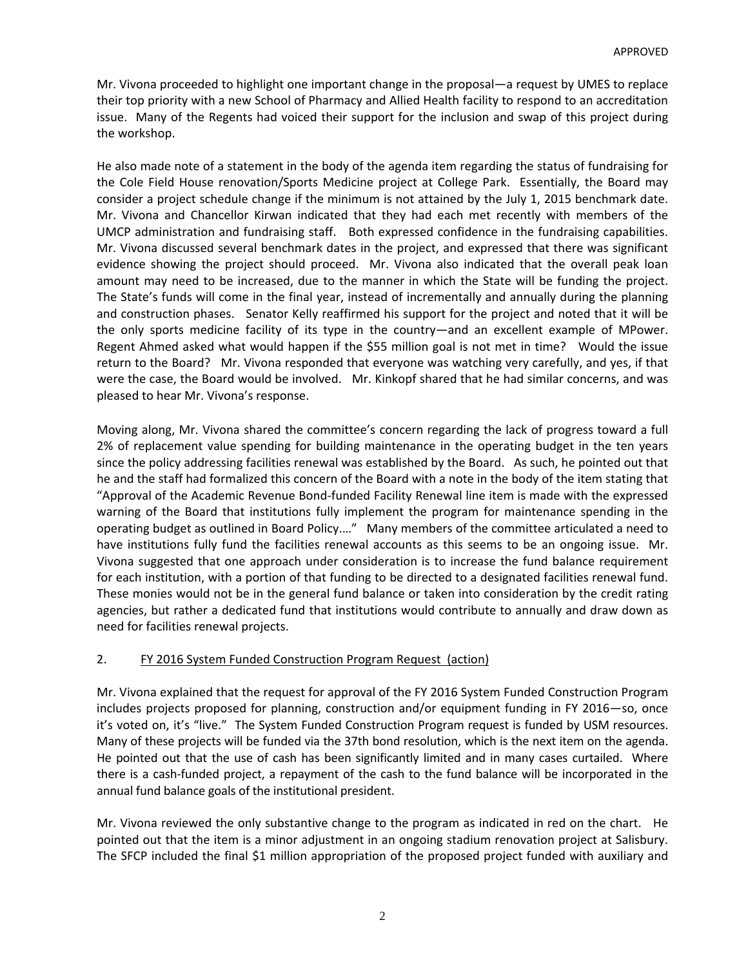Mr. Vivona proceeded to highlight one important change in the proposal—a request by UMES to replace their top priority with a new School of Pharmacy and Allied Health facility to respond to an accreditation issue. Many of the Regents had voiced their support for the inclusion and swap of this project during the workshop.

He also made note of a statement in the body of the agenda item regarding the status of fundraising for the Cole Field House renovation/Sports Medicine project at College Park. Essentially, the Board may consider a project schedule change if the minimum is not attained by the July 1, 2015 benchmark date. Mr. Vivona and Chancellor Kirwan indicated that they had each met recently with members of the UMCP administration and fundraising staff. Both expressed confidence in the fundraising capabilities. Mr. Vivona discussed several benchmark dates in the project, and expressed that there was significant evidence showing the project should proceed. Mr. Vivona also indicated that the overall peak loan amount may need to be increased, due to the manner in which the State will be funding the project. The State's funds will come in the final year, instead of incrementally and annually during the planning and construction phases. Senator Kelly reaffirmed his support for the project and noted that it will be the only sports medicine facility of its type in the country—and an excellent example of MPower. Regent Ahmed asked what would happen if the \$55 million goal is not met in time? Would the issue return to the Board? Mr. Vivona responded that everyone was watching very carefully, and yes, if that were the case, the Board would be involved. Mr. Kinkopf shared that he had similar concerns, and was pleased to hear Mr. Vivona's response.

Moving along, Mr. Vivona shared the committee's concern regarding the lack of progress toward a full 2% of replacement value spending for building maintenance in the operating budget in the ten years since the policy addressing facilities renewal was established by the Board. As such, he pointed out that he and the staff had formalized this concern of the Board with a note in the body of the item stating that "Approval of the Academic Revenue Bond‐funded Facility Renewal line item is made with the expressed warning of the Board that institutions fully implement the program for maintenance spending in the operating budget as outlined in Board Policy.…" Many members of the committee articulated a need to have institutions fully fund the facilities renewal accounts as this seems to be an ongoing issue. Mr. Vivona suggested that one approach under consideration is to increase the fund balance requirement for each institution, with a portion of that funding to be directed to a designated facilities renewal fund. These monies would not be in the general fund balance or taken into consideration by the credit rating agencies, but rather a dedicated fund that institutions would contribute to annually and draw down as need for facilities renewal projects.

# 2. FY 2016 System Funded Construction Program Request (action)

Mr. Vivona explained that the request for approval of the FY 2016 System Funded Construction Program includes projects proposed for planning, construction and/or equipment funding in FY 2016—so, once it's voted on, it's "live." The System Funded Construction Program request is funded by USM resources. Many of these projects will be funded via the 37th bond resolution, which is the next item on the agenda. He pointed out that the use of cash has been significantly limited and in many cases curtailed. Where there is a cash‐funded project, a repayment of the cash to the fund balance will be incorporated in the annual fund balance goals of the institutional president.

Mr. Vivona reviewed the only substantive change to the program as indicated in red on the chart. He pointed out that the item is a minor adjustment in an ongoing stadium renovation project at Salisbury. The SFCP included the final \$1 million appropriation of the proposed project funded with auxiliary and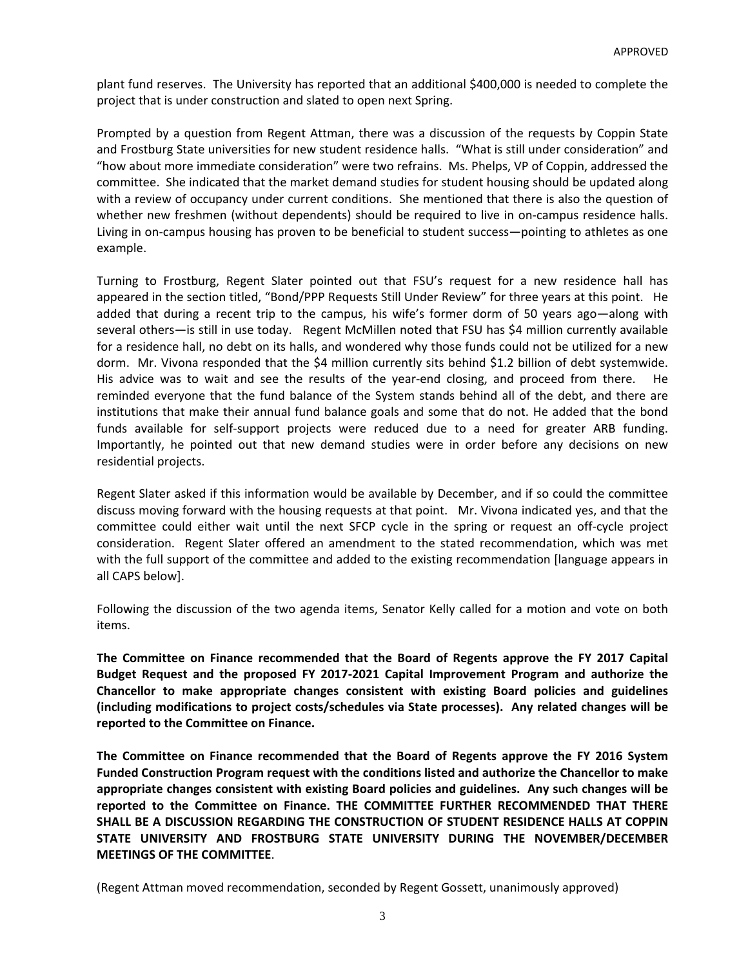plant fund reserves. The University has reported that an additional \$400,000 is needed to complete the project that is under construction and slated to open next Spring.

Prompted by a question from Regent Attman, there was a discussion of the requests by Coppin State and Frostburg State universities for new student residence halls. "What is still under consideration" and "how about more immediate consideration" were two refrains. Ms. Phelps, VP of Coppin, addressed the committee. She indicated that the market demand studies for student housing should be updated along with a review of occupancy under current conditions. She mentioned that there is also the question of whether new freshmen (without dependents) should be required to live in on-campus residence halls. Living in on-campus housing has proven to be beneficial to student success—pointing to athletes as one example.

Turning to Frostburg, Regent Slater pointed out that FSU's request for a new residence hall has appeared in the section titled, "Bond/PPP Requests Still Under Review" for three years at this point. He added that during a recent trip to the campus, his wife's former dorm of 50 years ago—along with several others—is still in use today. Regent McMillen noted that FSU has \$4 million currently available for a residence hall, no debt on its halls, and wondered why those funds could not be utilized for a new dorm. Mr. Vivona responded that the \$4 million currently sits behind \$1.2 billion of debt systemwide. His advice was to wait and see the results of the year-end closing, and proceed from there. He reminded everyone that the fund balance of the System stands behind all of the debt, and there are institutions that make their annual fund balance goals and some that do not. He added that the bond funds available for self-support projects were reduced due to a need for greater ARB funding. Importantly, he pointed out that new demand studies were in order before any decisions on new residential projects.

Regent Slater asked if this information would be available by December, and if so could the committee discuss moving forward with the housing requests at that point. Mr. Vivona indicated yes, and that the committee could either wait until the next SFCP cycle in the spring or request an off‐cycle project consideration. Regent Slater offered an amendment to the stated recommendation, which was met with the full support of the committee and added to the existing recommendation [language appears in all CAPS below].

Following the discussion of the two agenda items, Senator Kelly called for a motion and vote on both items.

**The Committee on Finance recommended that the Board of Regents approve the FY 2017 Capital Budget Request and the proposed FY 2017‐2021 Capital Improvement Program and authorize the Chancellor to make appropriate changes consistent with existing Board policies and guidelines (including modifications to project costs/schedules via State processes). Any related changes will be reported to the Committee on Finance.**

**The Committee on Finance recommended that the Board of Regents approve the FY 2016 System Funded Construction Program request with the conditions listed and authorize the Chancellor to make appropriate changes consistent with existing Board policies and guidelines. Any such changes will be reported to the Committee on Finance. THE COMMITTEE FURTHER RECOMMENDED THAT THERE SHALL BE A DISCUSSION REGARDING THE CONSTRUCTION OF STUDENT RESIDENCE HALLS AT COPPIN STATE UNIVERSITY AND FROSTBURG STATE UNIVERSITY DURING THE NOVEMBER/DECEMBER MEETINGS OF THE COMMITTEE**.

(Regent Attman moved recommendation, seconded by Regent Gossett, unanimously approved)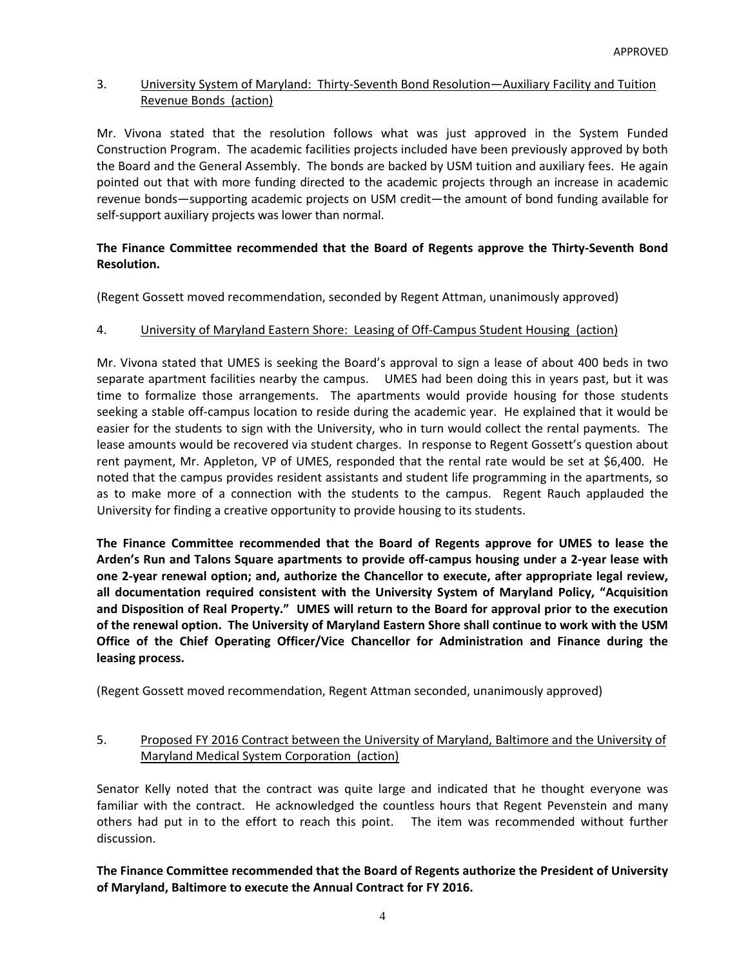### 3. University System of Maryland: Thirty‐Seventh Bond Resolution—Auxiliary Facility and Tuition Revenue Bonds (action)

Mr. Vivona stated that the resolution follows what was just approved in the System Funded Construction Program. The academic facilities projects included have been previously approved by both the Board and the General Assembly. The bonds are backed by USM tuition and auxiliary fees. He again pointed out that with more funding directed to the academic projects through an increase in academic revenue bonds—supporting academic projects on USM credit—the amount of bond funding available for self-support auxiliary projects was lower than normal.

# **The Finance Committee recommended that the Board of Regents approve the Thirty‐Seventh Bond Resolution.**

(Regent Gossett moved recommendation, seconded by Regent Attman, unanimously approved)

### 4. University of Maryland Eastern Shore: Leasing of Off‐Campus Student Housing (action)

Mr. Vivona stated that UMES is seeking the Board's approval to sign a lease of about 400 beds in two separate apartment facilities nearby the campus. UMES had been doing this in years past, but it was time to formalize those arrangements. The apartments would provide housing for those students seeking a stable off‐campus location to reside during the academic year. He explained that it would be easier for the students to sign with the University, who in turn would collect the rental payments. The lease amounts would be recovered via student charges. In response to Regent Gossett's question about rent payment, Mr. Appleton, VP of UMES, responded that the rental rate would be set at \$6,400. He noted that the campus provides resident assistants and student life programming in the apartments, so as to make more of a connection with the students to the campus. Regent Rauch applauded the University for finding a creative opportunity to provide housing to its students.

**The Finance Committee recommended that the Board of Regents approve for UMES to lease the** Arden's Run and Talons Square apartments to provide off-campus housing under a 2-year lease with **one 2‐year renewal option; and, authorize the Chancellor to execute, after appropriate legal review, all documentation required consistent with the University System of Maryland Policy, "Acquisition** and Disposition of Real Property." UMES will return to the Board for approval prior to the execution of the renewal option. The University of Maryland Eastern Shore shall continue to work with the USM **Office of the Chief Operating Officer/Vice Chancellor for Administration and Finance during the leasing process.** 

(Regent Gossett moved recommendation, Regent Attman seconded, unanimously approved)

### 5. Proposed FY 2016 Contract between the University of Maryland, Baltimore and the University of Maryland Medical System Corporation (action)

Senator Kelly noted that the contract was quite large and indicated that he thought everyone was familiar with the contract. He acknowledged the countless hours that Regent Pevenstein and many others had put in to the effort to reach this point. The item was recommended without further discussion.

**The Finance Committee recommended that the Board of Regents authorize the President of University of Maryland, Baltimore to execute the Annual Contract for FY 2016.**